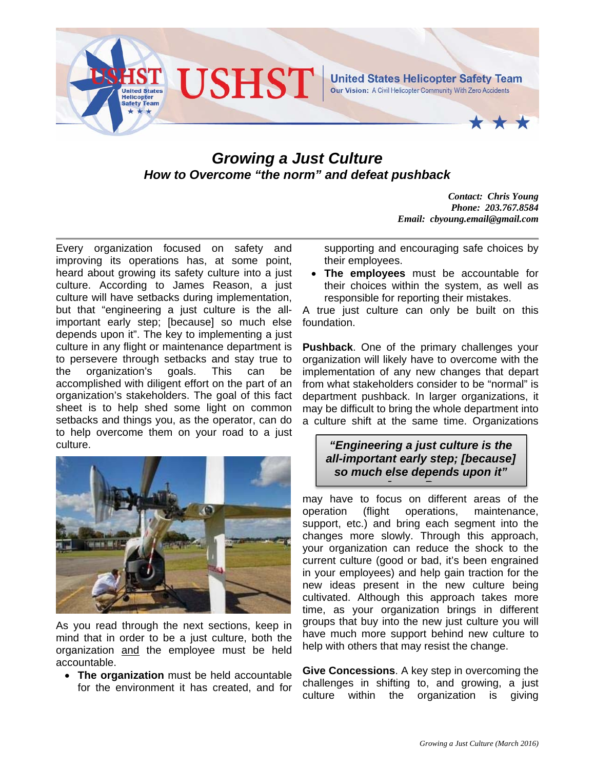

## *Growing a Just Culture How to Overcome "the norm" and defeat pushback*

*Contact: Chris Young Phone: 203.767.8584 Email: cbyoung.email@gmail.com* 

Every organization focused on safety and improving its operations has, at some point, heard about growing its safety culture into a just culture. According to James Reason, a just culture will have setbacks during implementation, but that "engineering a just culture is the allimportant early step; [because] so much else depends upon it". The key to implementing a just culture in any flight or maintenance department is to persevere through setbacks and stay true to the organization's goals. This can be accomplished with diligent effort on the part of an organization's stakeholders. The goal of this fact sheet is to help shed some light on common setbacks and things you, as the operator, can do to help overcome them on your road to a just culture.



As you read through the next sections, keep in mind that in order to be a just culture, both the organization and the employee must be held accountable.

 **The organization** must be held accountable for the environment it has created, and for supporting and encouraging safe choices by their employees.

 **The employees** must be accountable for their choices within the system, as well as responsible for reporting their mistakes.

A true just culture can only be built on this foundation.

**Pushback**. One of the primary challenges your organization will likely have to overcome with the implementation of any new changes that depart from what stakeholders consider to be "normal" is department pushback. In larger organizations, it may be difficult to bring the whole department into a culture shift at the same time. Organizations

## *"Engineering a just culture is the all-important early step; [because] so much else depends upon it" J R*

may have to focus on different areas of the operation (flight operations, maintenance, support, etc.) and bring each segment into the changes more slowly. Through this approach, your organization can reduce the shock to the current culture (good or bad, it's been engrained in your employees) and help gain traction for the new ideas present in the new culture being cultivated. Although this approach takes more time, as your organization brings in different groups that buy into the new just culture you will have much more support behind new culture to help with others that may resist the change.

**Give Concessions**. A key step in overcoming the challenges in shifting to, and growing, a just culture within the organization is giving